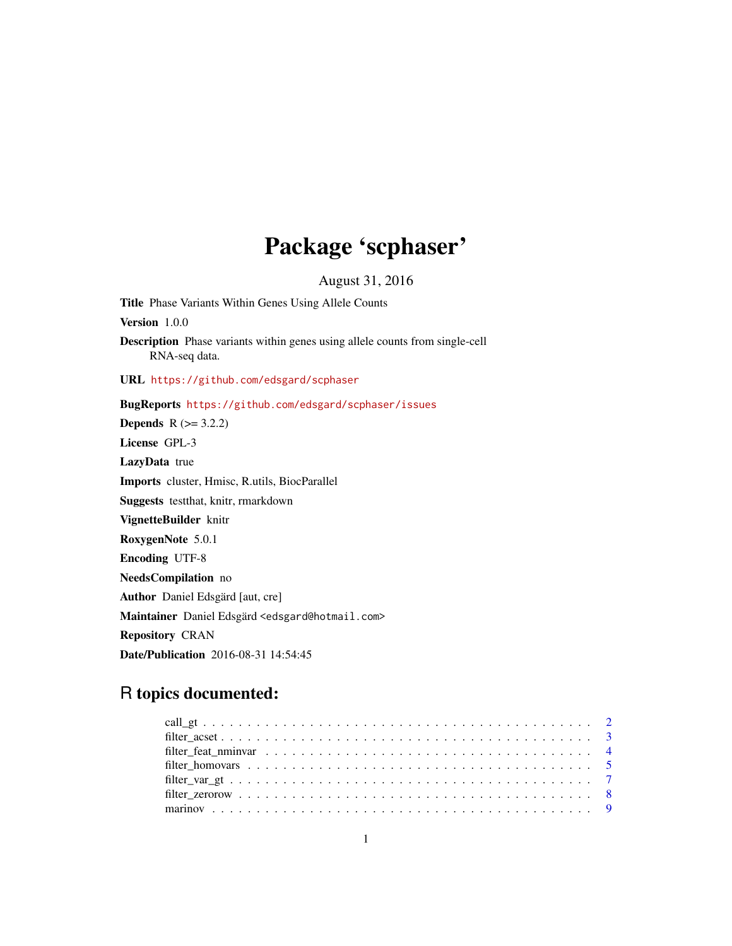## Package 'scphaser'

August 31, 2016

<span id="page-0-0"></span>Title Phase Variants Within Genes Using Allele Counts Version 1.0.0 Description Phase variants within genes using allele counts from single-cell RNA-seq data. URL <https://github.com/edsgard/scphaser> BugReports <https://github.com/edsgard/scphaser/issues> **Depends**  $R$  ( $>= 3.2.2$ ) License GPL-3 LazyData true Imports cluster, Hmisc, R.utils, BiocParallel Suggests testthat, knitr, rmarkdown VignetteBuilder knitr RoxygenNote 5.0.1 Encoding UTF-8 NeedsCompilation no Author Daniel Edsgärd [aut, cre] Maintainer Daniel Edsgärd <edsgard@hotmail.com> Repository CRAN Date/Publication 2016-08-31 14:54:45

### R topics documented: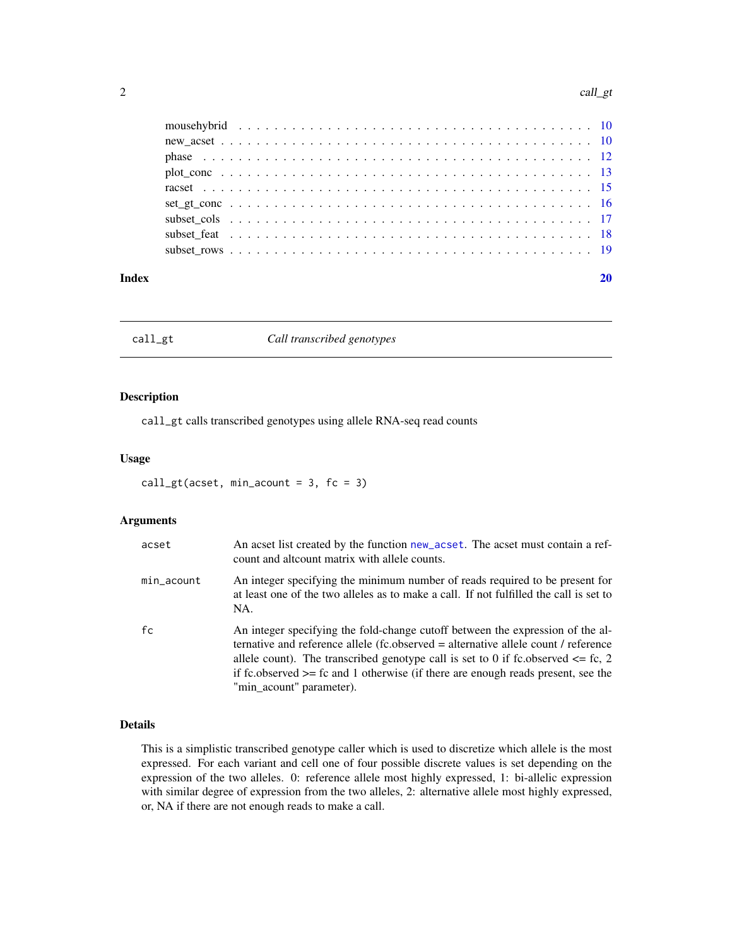#### <span id="page-1-0"></span>2 call\_gt

| Index |                                                                                                                                                                   |  |  |  |  |  |  |  |  |  |  |  |  |  |  |  |  |  |
|-------|-------------------------------------------------------------------------------------------------------------------------------------------------------------------|--|--|--|--|--|--|--|--|--|--|--|--|--|--|--|--|--|
|       |                                                                                                                                                                   |  |  |  |  |  |  |  |  |  |  |  |  |  |  |  |  |  |
|       |                                                                                                                                                                   |  |  |  |  |  |  |  |  |  |  |  |  |  |  |  |  |  |
|       | subset cols $\ldots$ $\ldots$ $\ldots$ $\ldots$ $\ldots$ $\ldots$ $\ldots$ $\ldots$ $\ldots$ $\ldots$ $\ldots$ $\ldots$ $\ldots$ $\ldots$ $\ldots$ $\frac{17}{2}$ |  |  |  |  |  |  |  |  |  |  |  |  |  |  |  |  |  |
|       |                                                                                                                                                                   |  |  |  |  |  |  |  |  |  |  |  |  |  |  |  |  |  |
|       |                                                                                                                                                                   |  |  |  |  |  |  |  |  |  |  |  |  |  |  |  |  |  |
|       |                                                                                                                                                                   |  |  |  |  |  |  |  |  |  |  |  |  |  |  |  |  |  |
|       |                                                                                                                                                                   |  |  |  |  |  |  |  |  |  |  |  |  |  |  |  |  |  |
|       |                                                                                                                                                                   |  |  |  |  |  |  |  |  |  |  |  |  |  |  |  |  |  |
|       |                                                                                                                                                                   |  |  |  |  |  |  |  |  |  |  |  |  |  |  |  |  |  |

<span id="page-1-1"></span>call\_gt *Call transcribed genotypes*

#### Description

call\_gt calls transcribed genotypes using allele RNA-seq read counts

#### Usage

call\_gt(acset, min\_acount =  $3$ , fc =  $3$ )

#### Arguments

| acset      | An acset list created by the function new_acset. The acset must contain a ref-<br>count and alteount matrix with allele counts.                                                                                                                                                                                                                                                  |
|------------|----------------------------------------------------------------------------------------------------------------------------------------------------------------------------------------------------------------------------------------------------------------------------------------------------------------------------------------------------------------------------------|
| min_acount | An integer specifying the minimum number of reads required to be present for<br>at least one of the two alleles as to make a call. If not fulfilled the call is set to<br>NA.                                                                                                                                                                                                    |
| fc         | An integer specifying the fold-change cutoff between the expression of the al-<br>ternative and reference allele (fc.observed = alternative allele count / reference<br>allele count). The transcribed genotype call is set to 0 if fc.observed $\leq$ fc, 2<br>if fc.observed $\geq$ fc and 1 otherwise (if there are enough reads present, see the<br>"min acount" parameter). |

#### Details

This is a simplistic transcribed genotype caller which is used to discretize which allele is the most expressed. For each variant and cell one of four possible discrete values is set depending on the expression of the two alleles. 0: reference allele most highly expressed, 1: bi-allelic expression with similar degree of expression from the two alleles, 2: alternative allele most highly expressed, or, NA if there are not enough reads to make a call.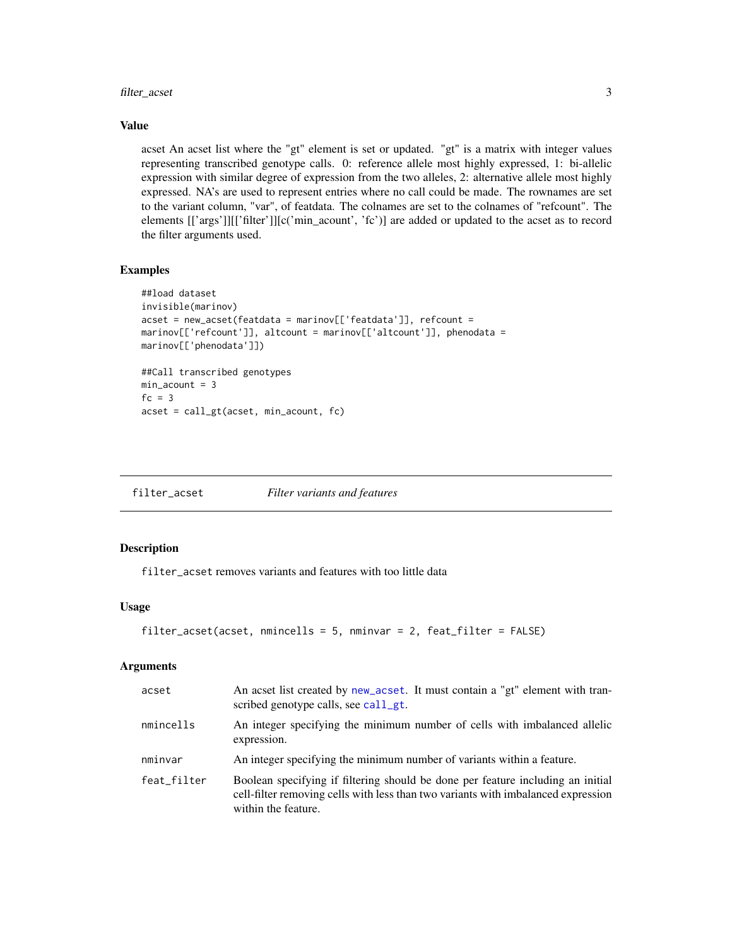#### <span id="page-2-0"></span>filter\_acset 3

#### Value

acset An acset list where the "gt" element is set or updated. "gt" is a matrix with integer values representing transcribed genotype calls. 0: reference allele most highly expressed, 1: bi-allelic expression with similar degree of expression from the two alleles, 2: alternative allele most highly expressed. NA's are used to represent entries where no call could be made. The rownames are set to the variant column, "var", of featdata. The colnames are set to the colnames of "refcount". The elements [['args']][['filter']][c('min\_acount', 'fc')] are added or updated to the acset as to record the filter arguments used.

#### Examples

```
##load dataset
invisible(marinov)
acset = new_acset(featdata = marinov[['featdata']], refcount =
marinov[['refcount']], altcount = marinov[['altcount']], phenodata =
marinov[['phenodata']])
##Call transcribed genotypes
min\_account = 3fc = 3acset = call_gt(acset, min_acount, fc)
```
filter\_acset *Filter variants and features*

#### Description

filter\_acset removes variants and features with too little data

#### Usage

```
filter_acset(acset, nmincells = 5, nminvar = 2, feat_filter = FALSE)
```
#### **Arguments**

| acset       | An acset list created by new_acset. It must contain a "gt" element with tran-<br>scribed genotype calls, see call_gt.                                                                       |
|-------------|---------------------------------------------------------------------------------------------------------------------------------------------------------------------------------------------|
| nmincells   | An integer specifying the minimum number of cells with imbalanced allelic<br>expression.                                                                                                    |
| nminvar     | An integer specifying the minimum number of variants within a feature.                                                                                                                      |
| feat filter | Boolean specifying if filtering should be done per feature including an initial<br>cell-filter removing cells with less than two variants with imbalanced expression<br>within the feature. |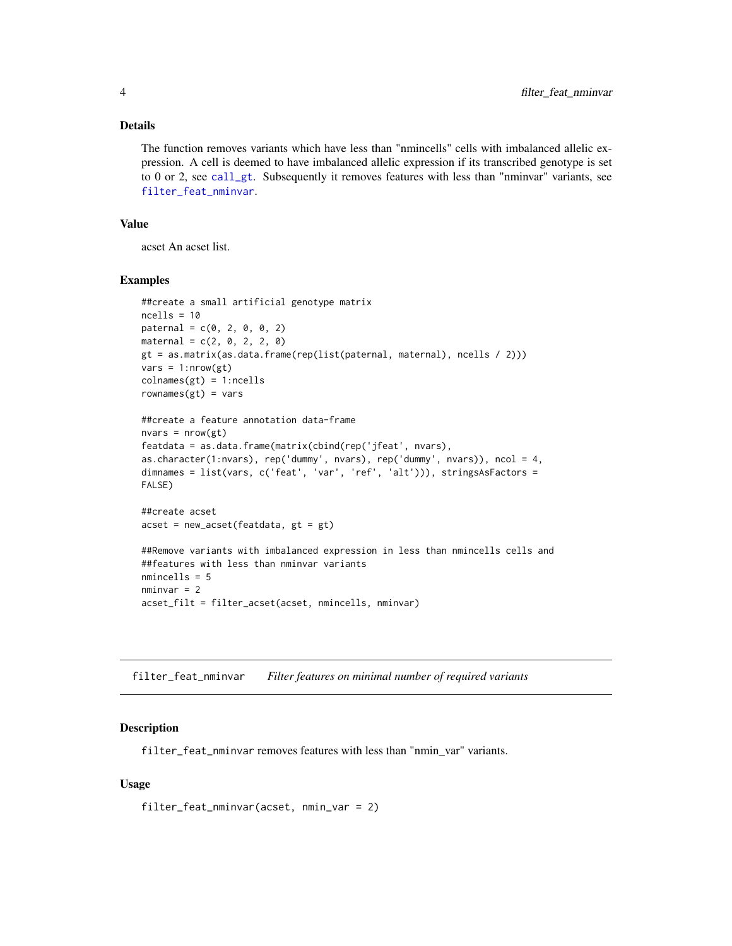#### <span id="page-3-0"></span>Details

The function removes variants which have less than "nmincells" cells with imbalanced allelic expression. A cell is deemed to have imbalanced allelic expression if its transcribed genotype is set to 0 or 2, see [call\\_gt](#page-1-1). Subsequently it removes features with less than "nminvar" variants, see [filter\\_feat\\_nminvar](#page-3-1).

#### Value

acset An acset list.

#### Examples

```
##create a small artificial genotype matrix
ncells = 10
patternal = c(0, 2, 0, 0, 2)material = c(2, 0, 2, 2, 0)gt = as.matrix(as.data.frame(rep(list(paternal, maternal), ncells / 2)))
vars = 1: nrow(gt)collnames(gt) = 1:ncellsrownames(gt) = vars##create a feature annotation data-frame
nvars = nrow(gt)featdata = as.data.frame(matrix(cbind(rep('jfeat', nvars),
as.character(1:nvars), rep('dummy', nvars), rep('dummy', nvars)), ncol = 4,
dimnames = list(vars, c('feat', 'var', 'ref', 'alt'))), stringsAsFactors =
FALSE)
##create acset
acset = new_acset(featdata, gt = gt)
##Remove variants with imbalanced expression in less than nmincells cells and
##features with less than nminvar variants
nmincells = 5
nminvar = 2acset_filt = filter_acset(acset, nmincells, nminvar)
```
<span id="page-3-1"></span>filter\_feat\_nminvar *Filter features on minimal number of required variants*

#### Description

filter\_feat\_nminvar removes features with less than "nmin\_var" variants.

#### Usage

filter\_feat\_nminvar(acset, nmin\_var = 2)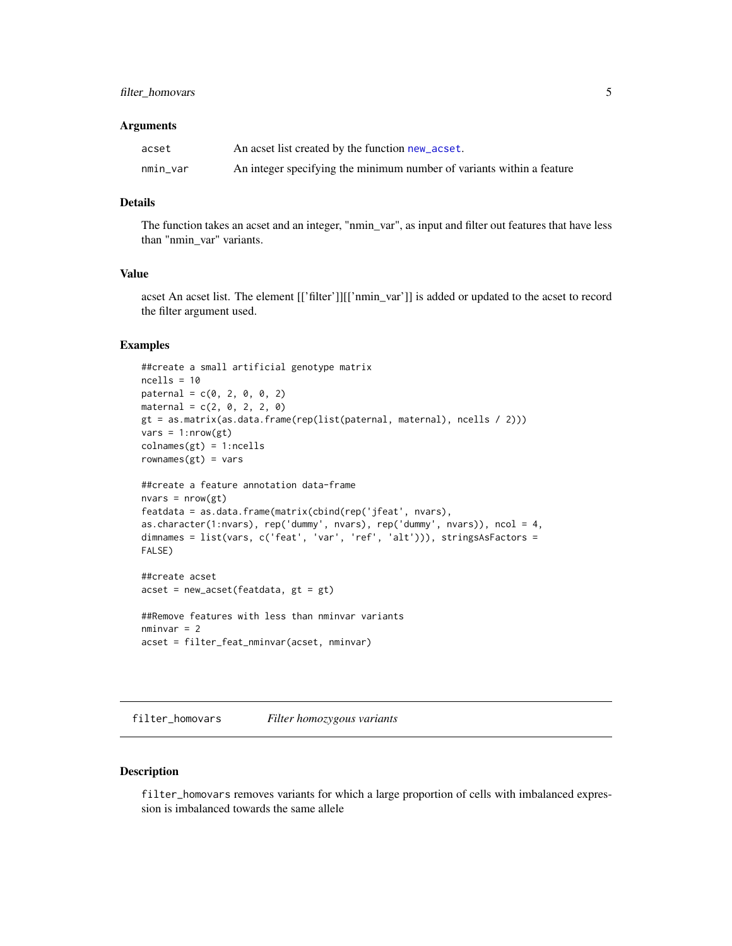#### <span id="page-4-0"></span>filter\_homovars 5

#### **Arguments**

| acset    | An acset list created by the function new_acset.                      |
|----------|-----------------------------------------------------------------------|
| nmin_var | An integer specifying the minimum number of variants within a feature |

#### Details

The function takes an acset and an integer, "nmin\_var", as input and filter out features that have less than "nmin\_var" variants.

#### Value

acset An acset list. The element [['filter']][['nmin\_var']] is added or updated to the acset to record the filter argument used.

#### Examples

```
##create a small artificial genotype matrix
ncells = 10
\text{paternal} = c(0, 2, 0, 0, 2)material = c(2, 0, 2, 2, 0)gt = as.matrix(as.data.frame(rep(list(paternal, maternal), ncells / 2)))
vars = 1: nrow(gt)colnames(gt) = 1:neellsrownames(gt) = vars##create a feature annotation data-frame
nvars = nrow(gt)featdata = as.data.frame(matrix(cbind(rep('jfeat', nvars),
as.character(1:nvars), rep('dummy', nvars), rep('dummy', nvars)), ncol = 4,
dimnames = list(vars, c('feat', 'var', 'ref', 'alt'))), stringsAsFactors =
FALSE)
```

```
##create acset
acset = new_acset(featdata, gt = gt)
```

```
##Remove features with less than nminvar variants
nminvar = 2acset = filter_feat_nminvar(acset, nminvar)
```
<span id="page-4-1"></span>filter\_homovars *Filter homozygous variants*

#### Description

filter\_homovars removes variants for which a large proportion of cells with imbalanced expression is imbalanced towards the same allele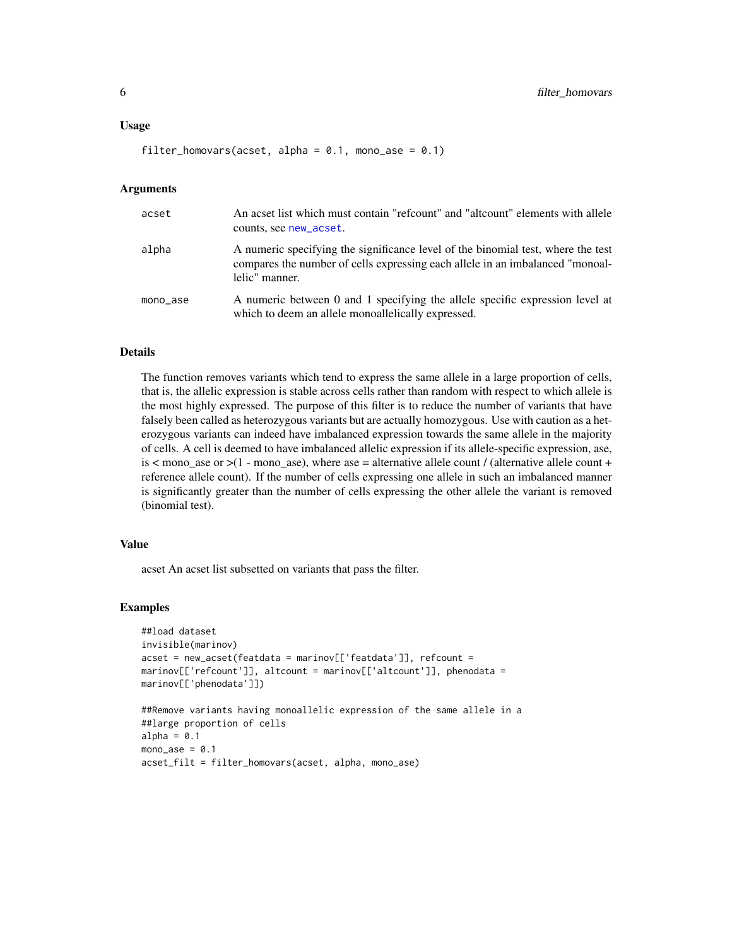```
filter_homovars(acset, alpha = 0.1, mono_ase = 0.1)
```
#### Arguments

| acset    | An acset list which must contain "refcount" and "altcount" elements with allele<br>counts, see new_acset.                                                                           |
|----------|-------------------------------------------------------------------------------------------------------------------------------------------------------------------------------------|
| alpha    | A numeric specifying the significance level of the binomial test, where the test<br>compares the number of cells expressing each allele in an imbalanced "monoal-<br>lelic" manner. |
| mono_ase | A numeric between 0 and 1 specifying the allele specific expression level at<br>which to deem an allele monoallelically expressed.                                                  |

#### Details

The function removes variants which tend to express the same allele in a large proportion of cells, that is, the allelic expression is stable across cells rather than random with respect to which allele is the most highly expressed. The purpose of this filter is to reduce the number of variants that have falsely been called as heterozygous variants but are actually homozygous. Use with caution as a heterozygous variants can indeed have imbalanced expression towards the same allele in the majority of cells. A cell is deemed to have imbalanced allelic expression if its allele-specific expression, ase, is  $\lt$  mono\_ase or  $\gt$ (1 - mono\_ase), where ase = alternative allele count / (alternative allele count + reference allele count). If the number of cells expressing one allele in such an imbalanced manner is significantly greater than the number of cells expressing the other allele the variant is removed (binomial test).

#### Value

acset An acset list subsetted on variants that pass the filter.

```
##load dataset
invisible(marinov)
acset = new_acset(featdata = marinov[['featdata']], refcount =
marinov[['refcount']], altcount = marinov[['altcount']], phenodata =
marinov[['phenodata']])
##Remove variants having monoallelic expression of the same allele in a
##large proportion of cells
alpha = 0.1mono\_ase = 0.1acset_filt = filter_homovars(acset, alpha, mono_ase)
```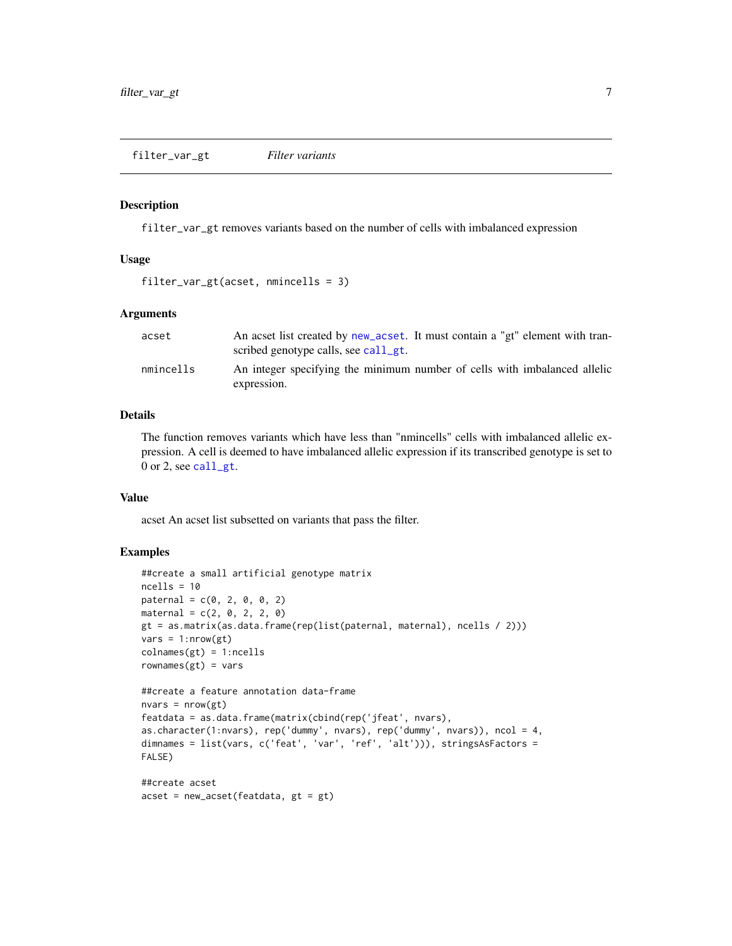#### <span id="page-6-1"></span><span id="page-6-0"></span>Description

filter\_var\_gt removes variants based on the number of cells with imbalanced expression

#### Usage

```
filter_var_gt(acset, nmincells = 3)
```
#### Arguments

| acset     | An acset list created by new acset. It must contain a "gt" element with tran-<br>scribed genotype calls, see call_gt. |
|-----------|-----------------------------------------------------------------------------------------------------------------------|
| nmincells | An integer specifying the minimum number of cells with imbalanced allelic<br>expression.                              |

### Details

The function removes variants which have less than "nmincells" cells with imbalanced allelic expression. A cell is deemed to have imbalanced allelic expression if its transcribed genotype is set to 0 or 2, see [call\\_gt](#page-1-1).

#### Value

acset An acset list subsetted on variants that pass the filter.

```
##create a small artificial genotype matrix
ncells = 10\text{patternal} = c(0, 2, 0, 0, 2)material = c(2, 0, 2, 2, 0)gt = as.matrix(as.data.frame(rep(list(paternal, maternal), ncells / 2)))
vars = 1: nrow(gt)colnames(gt) = 1:neellsrownames(gt) = vars##create a feature annotation data-frame
nvars = nrow(gt)
featdata = as.data.frame(matrix(cbind(rep('jfeat', nvars),
as.character(1:nvars), rep('dummy', nvars), rep('dummy', nvars)), ncol = 4,
dimnames = list(vars, c('feat', 'var', 'ref', 'alt'))), stringsAsFactors =
FALSE)
##create acset
acset = new_acset(featdata, gt = gt)
```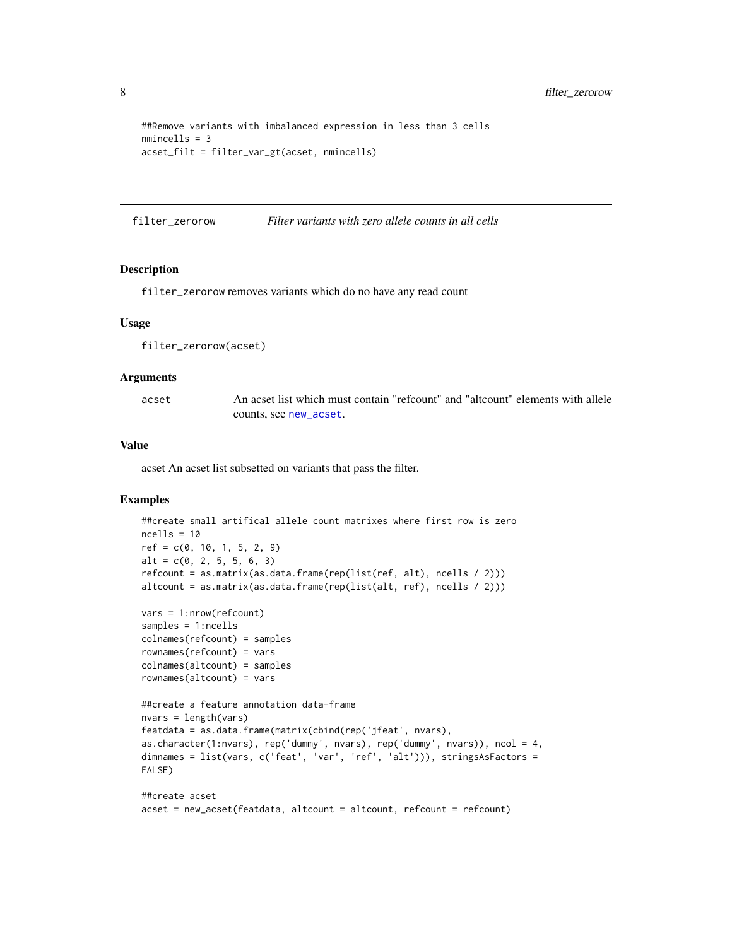```
##Remove variants with imbalanced expression in less than 3 cells
nmincells = 3
acset_filt = filter_var_gt(acset, nmincells)
```
filter\_zerorow *Filter variants with zero allele counts in all cells*

#### Description

filter\_zerorow removes variants which do no have any read count

#### Usage

filter\_zerorow(acset)

#### Arguments

acset An acset list which must contain "refcount" and "altcount" elements with allele counts, see [new\\_acset](#page-9-1).

#### Value

acset An acset list subsetted on variants that pass the filter.

```
##create small artifical allele count matrixes where first row is zero
ncells = 10ref = c(0, 10, 1, 5, 2, 9)alt = c(0, 2, 5, 5, 6, 3)refcount = as.matrix(as.data.frame(rep(list(ref, alt), ncells / 2)))
altcount = as.matrix(as.data.frame(rep(list(alt, ref), ncells / 2)))
vars = 1:nrow(refcount)
samples = 1:ncells
colnames(refcount) = samples
rownames(refcount) = vars
colnames(altcount) = samples
rownames(altcount) = vars
##create a feature annotation data-frame
nvars = length(vars)
featdata = as.data.frame(matrix(cbind(rep('jfeat', nvars),
as.character(1:nvars), rep('dummy', nvars), rep('dummy', nvars)), ncol = 4,
dimnames = list(vars, c('feat', 'var', 'ref', 'alt'))), stringsAsFactors =
```

```
FALSE)
```

```
##create acset
acset = new_acset(featdata, altcount = altcount, refcount = refcount)
```
<span id="page-7-0"></span>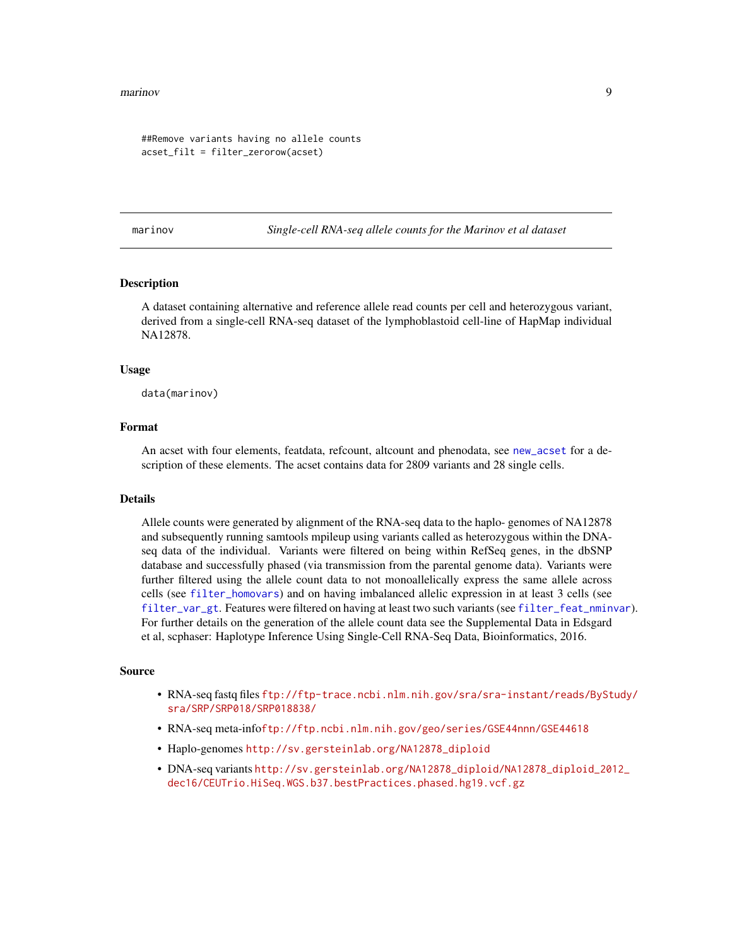#### <span id="page-8-0"></span>marinov 9

```
##Remove variants having no allele counts
acset_filt = filter_zerorow(acset)
```
marinov *Single-cell RNA-seq allele counts for the Marinov et al dataset*

#### Description

A dataset containing alternative and reference allele read counts per cell and heterozygous variant, derived from a single-cell RNA-seq dataset of the lymphoblastoid cell-line of HapMap individual NA12878.

#### Usage

data(marinov)

#### Format

An acset with four elements, featdata, refcount, altcount and phenodata, see [new\\_acset](#page-9-1) for a description of these elements. The acset contains data for 2809 variants and 28 single cells.

#### Details

Allele counts were generated by alignment of the RNA-seq data to the haplo- genomes of NA12878 and subsequently running samtools mpileup using variants called as heterozygous within the DNAseq data of the individual. Variants were filtered on being within RefSeq genes, in the dbSNP database and successfully phased (via transmission from the parental genome data). Variants were further filtered using the allele count data to not monoallelically express the same allele across cells (see [filter\\_homovars](#page-4-1)) and on having imbalanced allelic expression in at least 3 cells (see [filter\\_var\\_gt](#page-6-1). Features were filtered on having at least two such variants (see [filter\\_feat\\_nminvar](#page-3-1)). For further details on the generation of the allele count data see the Supplemental Data in Edsgard et al, scphaser: Haplotype Inference Using Single-Cell RNA-Seq Data, Bioinformatics, 2016.

#### Source

- RNA-seq fastq files [ftp://ftp-trace.ncbi.nlm.nih.gov/sra/sra-instant/reads/BySt](ftp://ftp-trace.ncbi.nlm.nih.gov/sra/sra-instant/reads/ByStudy/sra/SRP/SRP018/SRP018838/)udy/ [sra/SRP/SRP018/SRP018838/](ftp://ftp-trace.ncbi.nlm.nih.gov/sra/sra-instant/reads/ByStudy/sra/SRP/SRP018/SRP018838/)
- RNA-seq meta-info<ftp://ftp.ncbi.nlm.nih.gov/geo/series/GSE44nnn/GSE44618>
- Haplo-genomes [http://sv.gersteinlab.org/NA12878\\_diploid](http://sv.gersteinlab.org/NA12878_diploid)
- DNA-seq variants [http://sv.gersteinlab.org/NA12878\\_diploid/NA12878\\_diploid\\_201](http://sv.gersteinlab.org/NA12878_diploid/NA12878_diploid_2012_dec16/CEUTrio.HiSeq.WGS.b37.bestPractices.phased.hg19.vcf.gz)2\_ [dec16/CEUTrio.HiSeq.WGS.b37.bestPractices.phased.hg19.vcf.gz](http://sv.gersteinlab.org/NA12878_diploid/NA12878_diploid_2012_dec16/CEUTrio.HiSeq.WGS.b37.bestPractices.phased.hg19.vcf.gz)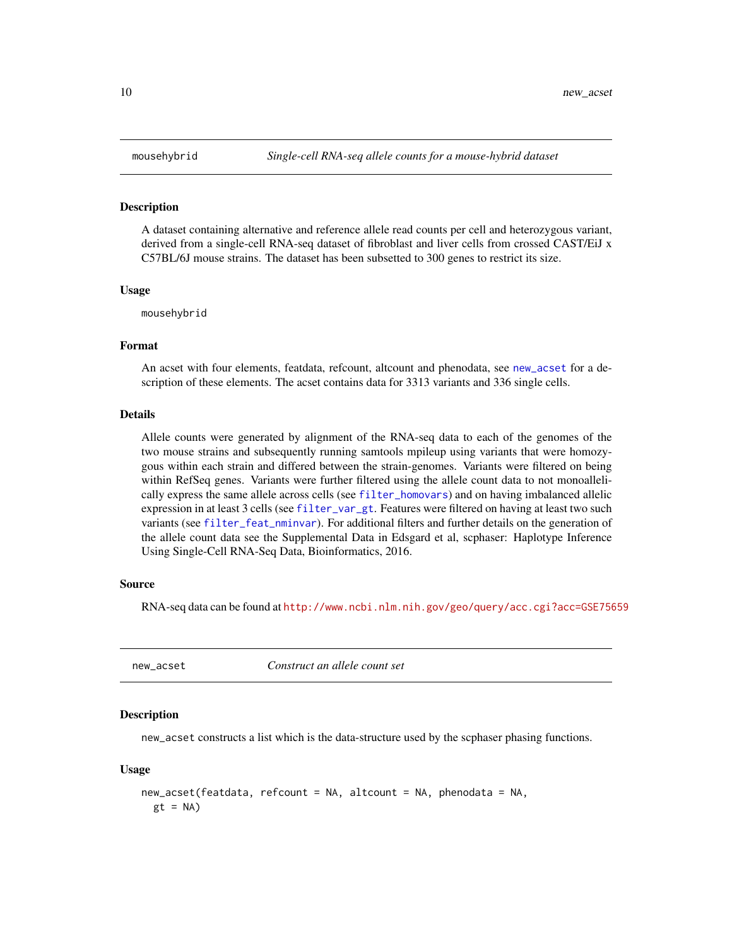#### Description

A dataset containing alternative and reference allele read counts per cell and heterozygous variant, derived from a single-cell RNA-seq dataset of fibroblast and liver cells from crossed CAST/EiJ x C57BL/6J mouse strains. The dataset has been subsetted to 300 genes to restrict its size.

#### Usage

mousehybrid

#### Format

An acset with four elements, featdata, refcount, altcount and phenodata, see [new\\_acset](#page-9-1) for a description of these elements. The acset contains data for 3313 variants and 336 single cells.

#### Details

Allele counts were generated by alignment of the RNA-seq data to each of the genomes of the two mouse strains and subsequently running samtools mpileup using variants that were homozygous within each strain and differed between the strain-genomes. Variants were filtered on being within RefSeq genes. Variants were further filtered using the allele count data to not monoallelically express the same allele across cells (see [filter\\_homovars](#page-4-1)) and on having imbalanced allelic expression in at least 3 cells (see [filter\\_var\\_gt](#page-6-1). Features were filtered on having at least two such variants (see [filter\\_feat\\_nminvar](#page-3-1)). For additional filters and further details on the generation of the allele count data see the Supplemental Data in Edsgard et al, scphaser: Haplotype Inference Using Single-Cell RNA-Seq Data, Bioinformatics, 2016.

#### Source

RNA-seq data can be found at <http://www.ncbi.nlm.nih.gov/geo/query/acc.cgi?acc=GSE75659>

<span id="page-9-1"></span>

new\_acset *Construct an allele count set*

#### Description

new\_acset constructs a list which is the data-structure used by the scphaser phasing functions.

#### Usage

```
new_acset(featdata, refcount = NA, altcount = NA, phenodata = NA,
 gt = NA
```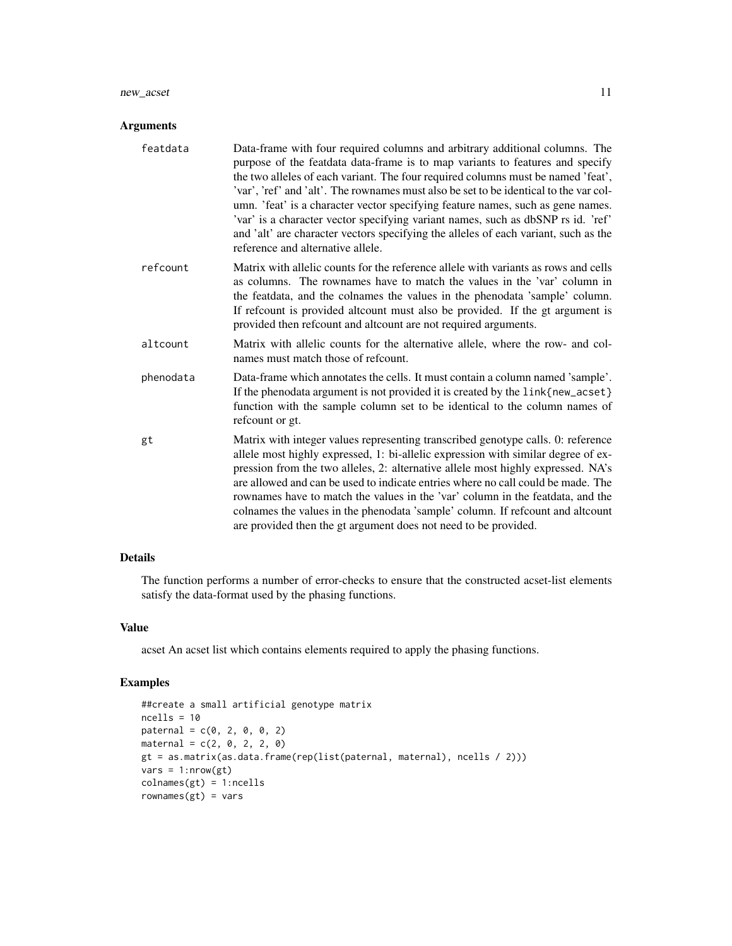#### new\_acset 11

#### Arguments

| Data-frame with four required columns and arbitrary additional columns. The<br>purpose of the featdata data-frame is to map variants to features and specify<br>the two alleles of each variant. The four required columns must be named 'feat',<br>'var', 'ref' and 'alt'. The rownames must also be set to be identical to the var col-<br>umn. 'feat' is a character vector specifying feature names, such as gene names.<br>'var' is a character vector specifying variant names, such as dbSNP rs id. 'ref'<br>and 'alt' are character vectors specifying the alleles of each variant, such as the<br>reference and alternative allele. |
|----------------------------------------------------------------------------------------------------------------------------------------------------------------------------------------------------------------------------------------------------------------------------------------------------------------------------------------------------------------------------------------------------------------------------------------------------------------------------------------------------------------------------------------------------------------------------------------------------------------------------------------------|
| Matrix with allelic counts for the reference allele with variants as rows and cells<br>as columns. The rownames have to match the values in the 'var' column in<br>the featdata, and the colnames the values in the phenodata 'sample' column.<br>If refcount is provided alteount must also be provided. If the gt argument is<br>provided then refcount and altcount are not required arguments.                                                                                                                                                                                                                                           |
| Matrix with allelic counts for the alternative allele, where the row- and col-<br>names must match those of refcount.                                                                                                                                                                                                                                                                                                                                                                                                                                                                                                                        |
| Data-frame which annotates the cells. It must contain a column named 'sample'.<br>If the phenodata argument is not provided it is created by the link{new_acset}<br>function with the sample column set to be identical to the column names of<br>refeount or gt.                                                                                                                                                                                                                                                                                                                                                                            |
| Matrix with integer values representing transcribed genotype calls. 0: reference<br>allele most highly expressed, 1: bi-allelic expression with similar degree of ex-<br>pression from the two alleles, 2: alternative allele most highly expressed. NA's<br>are allowed and can be used to indicate entries where no call could be made. The<br>rownames have to match the values in the 'var' column in the featdata, and the<br>colnames the values in the phenodata 'sample' column. If refcount and altcount<br>are provided then the gt argument does not need to be provided.                                                         |
|                                                                                                                                                                                                                                                                                                                                                                                                                                                                                                                                                                                                                                              |

### Details

The function performs a number of error-checks to ensure that the constructed acset-list elements satisfy the data-format used by the phasing functions.

#### Value

acset An acset list which contains elements required to apply the phasing functions.

```
##create a small artificial genotype matrix
ncells = 10\text{paternal} = c(0, 2, 0, 0, 2)material = c(2, 0, 2, 2, 0)gt = as.matrix(as.data.frame(rep(list(paternal, maternal), ncells / 2)))
vars = 1: nrow(gt)colnames(gt) = 1:ncells
rownames(gt) = vars
```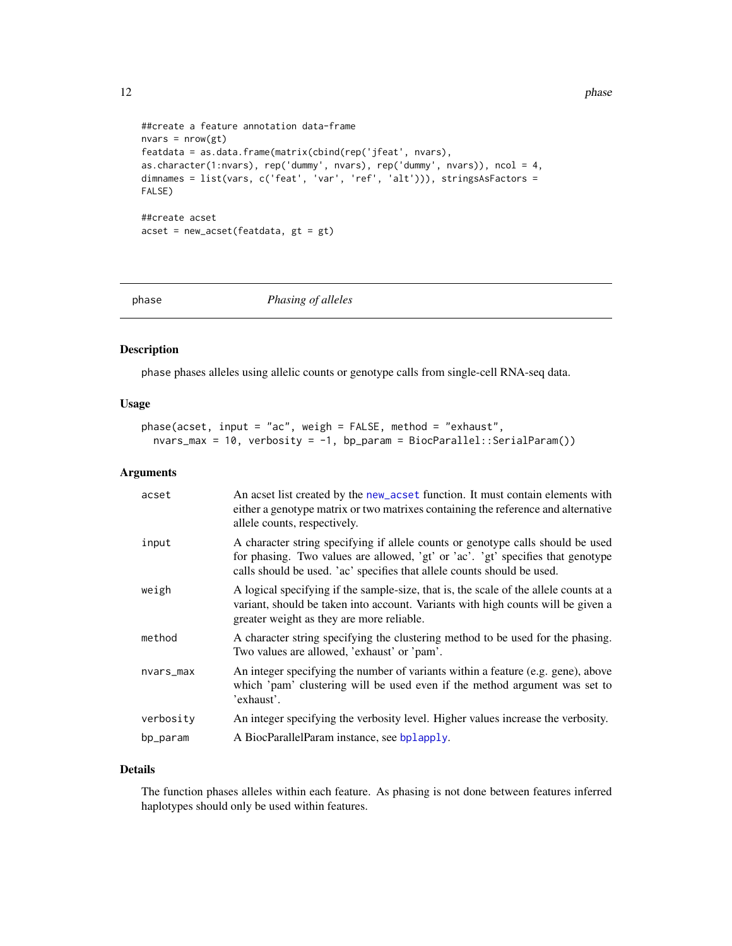12 phase parameters are the set of the set of the set of the set of the set of the set of the set of the set of the set of the set of the set of the set of the set of the set of the set of the set of the set of the set of

```
##create a feature annotation data-frame
nvars = nrow(gt)featdata = as.data.frame(matrix(cbind(rep('jfeat', nvars),
as.character(1:nvars), rep('dummy', nvars), rep('dummy', nvars)), ncol = 4,
dimnames = list(vars, c('feat', 'var', 'ref', 'alt'))), stringsAsFactors =
FALSE)
##create acset
acset = new_acset(featdata, gt = gt)
```
<span id="page-11-1"></span>

phase *Phasing of alleles*

#### Description

phase phases alleles using allelic counts or genotype calls from single-cell RNA-seq data.

#### Usage

```
phase(acset, input = "ac", weigh = FALSE, method = "exhaust",
 nvars_max = 10, verbosity = -1, bp_param = BiocParallel::SerialParam())
```
#### Arguments

| acset     | An acset list created by the new_acset function. It must contain elements with<br>either a genotype matrix or two matrixes containing the reference and alternative<br>allele counts, respectively.                                           |
|-----------|-----------------------------------------------------------------------------------------------------------------------------------------------------------------------------------------------------------------------------------------------|
| input     | A character string specifying if allele counts or genotype calls should be used<br>for phasing. Two values are allowed, 'gt' or 'ac'. 'gt' specifies that genotype<br>calls should be used. 'ac' specifies that allele counts should be used. |
| weigh     | A logical specifying if the sample-size, that is, the scale of the allele counts at a<br>variant, should be taken into account. Variants with high counts will be given a<br>greater weight as they are more reliable.                        |
| method    | A character string specifying the clustering method to be used for the phasing.<br>Two values are allowed, 'exhaust' or 'pam'.                                                                                                                |
| nvars_max | An integer specifying the number of variants within a feature (e.g. gene), above<br>which 'pam' clustering will be used even if the method argument was set to<br>'exhaust'.                                                                  |
| verbosity | An integer specifying the verbosity level. Higher values increase the verbosity.                                                                                                                                                              |
| bp_param  | A BiocParallelParam instance, see bplapply.                                                                                                                                                                                                   |

#### Details

The function phases alleles within each feature. As phasing is not done between features inferred haplotypes should only be used within features.

<span id="page-11-0"></span>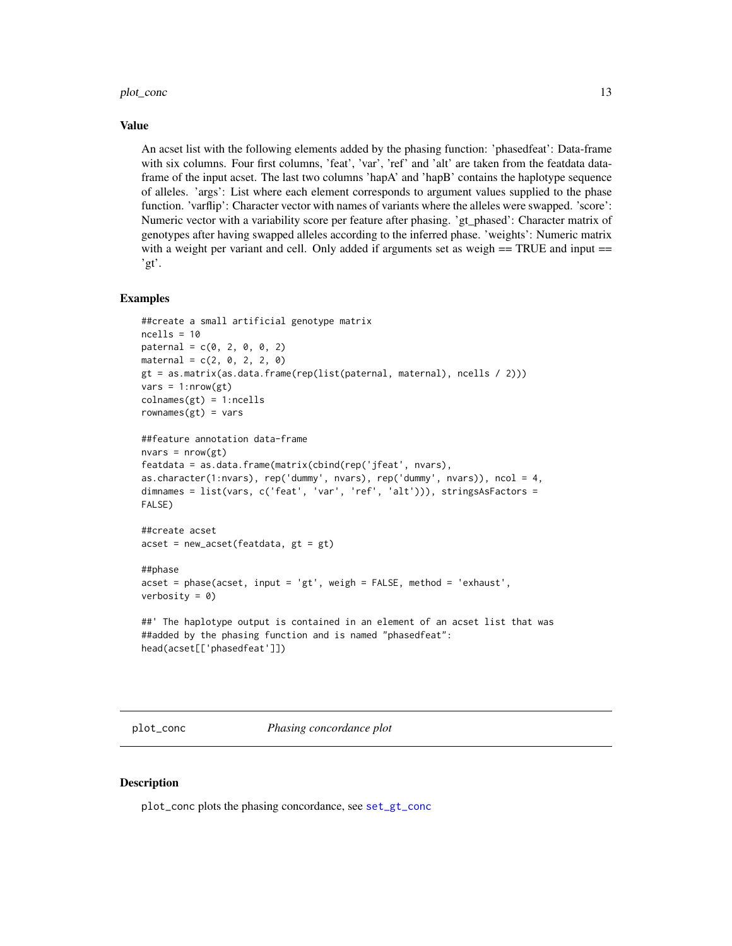#### <span id="page-12-0"></span>Value

An acset list with the following elements added by the phasing function: 'phasedfeat': Data-frame with six columns. Four first columns, 'feat', 'var', 'ref' and 'alt' are taken from the featdata dataframe of the input acset. The last two columns 'hapA' and 'hapB' contains the haplotype sequence of alleles. 'args': List where each element corresponds to argument values supplied to the phase function. 'varflip': Character vector with names of variants where the alleles were swapped. 'score': Numeric vector with a variability score per feature after phasing. 'gt\_phased': Character matrix of genotypes after having swapped alleles according to the inferred phase. 'weights': Numeric matrix with a weight per variant and cell. Only added if arguments set as weigh  $==$  TRUE and input  $==$ 'gt'.

#### Examples

```
##create a small artificial genotype matrix
ncells = 10\text{patternal} = c(0, 2, 0, 0, 2)material = c(2, 0, 2, 2, 0)gt = as.matrix(as.data.frame(rep(list(paternal, maternal), ncells / 2)))
vars = 1: nrow(gt)collnames(gt) = 1:ncellsrownames(gt) = vars##feature annotation data-frame
nvars = nrow(gt)featdata = as.data.frame(matrix(cbind(rep('jfeat', nvars),
as.character(1:nvars), rep('dummy', nvars), rep('dummy', nvars)), ncol = 4,
dimnames = list(vars, c('feat', 'var', 'ref', 'alt'))), stringsAsFactors =
FALSE)
##create acset
acset = new_acset(featdata, gt = gt)
##phase
acset = phase(acset, input = 'gt', weigh = FALSE, method = 'exhaust',
verbosity = 0)
##' The haplotype output is contained in an element of an acset list that was
##added by the phasing function and is named "phasedfeat":
head(acset[['phasedfeat']])
```
plot\_conc *Phasing concordance plot*

#### Description

plot\_conc plots the phasing concordance, see [set\\_gt\\_conc](#page-15-1)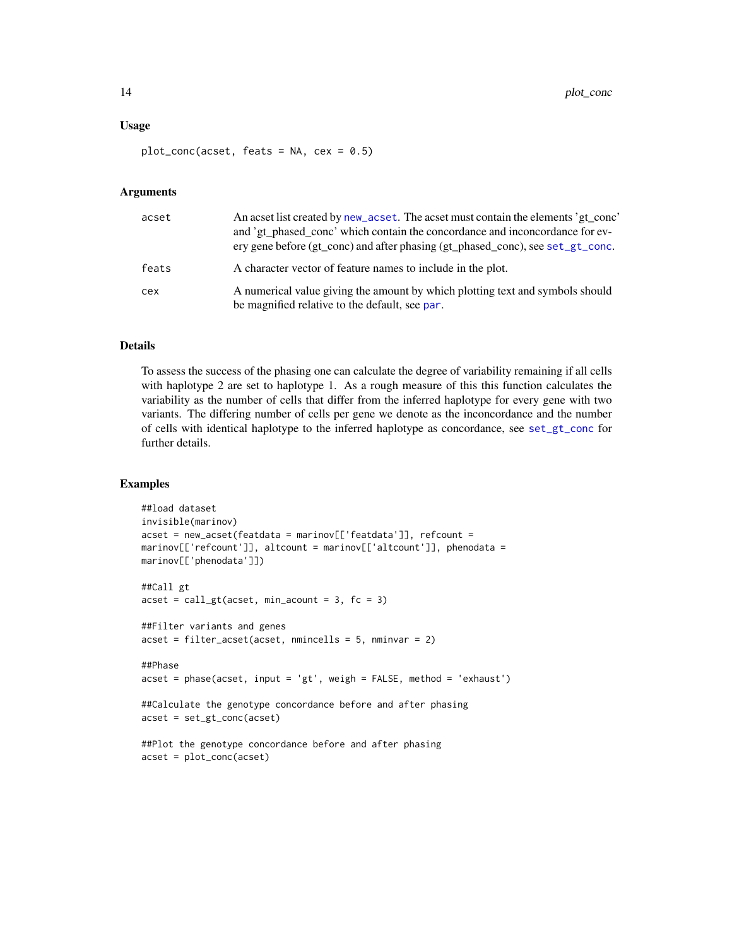#### <span id="page-13-0"></span>Usage

 $plot_{conc(acset, feats = NA, cex = 0.5)}$ 

#### Arguments

| acset | An acset list created by new_acset. The acset must contain the elements 'gt_conc'<br>and 'gt_phased_conc' which contain the concordance and inconcordance for ev-<br>ery gene before (gt_conc) and after phasing (gt_phased_conc), see set_gt_conc. |
|-------|-----------------------------------------------------------------------------------------------------------------------------------------------------------------------------------------------------------------------------------------------------|
| feats | A character vector of feature names to include in the plot.                                                                                                                                                                                         |
| cex   | A numerical value giving the amount by which plotting text and symbols should<br>be magnified relative to the default, see par.                                                                                                                     |

#### Details

To assess the success of the phasing one can calculate the degree of variability remaining if all cells with haplotype 2 are set to haplotype 1. As a rough measure of this this function calculates the variability as the number of cells that differ from the inferred haplotype for every gene with two variants. The differing number of cells per gene we denote as the inconcordance and the number of cells with identical haplotype to the inferred haplotype as concordance, see [set\\_gt\\_conc](#page-15-1) for further details.

```
##load dataset
invisible(marinov)
acset = new_acset(featdata = marinov[['featdata']], refcount =
marinov[['refcount']], altcount = marinov[['altcount']], phenodata =
marinov[['phenodata']])
##Call gt
a \cset = \text{call}_gt(a \cset, \text{min}_a \text{count} = 3, \text{fc} = 3)##Filter variants and genes
a \csc t = \text{filter} \cdot a \csc t \cdot (a \csc t, \text{ mimically} = 5, \text{mminvar} = 2)##Phase
a \csc t = phase(a \csc t, input = 'gt', weight = FALSE, method = 'exhaust')##Calculate the genotype concordance before and after phasing
acset = set_gt_conc(acset)
##Plot the genotype concordance before and after phasing
acset = plot_conc(acset)
```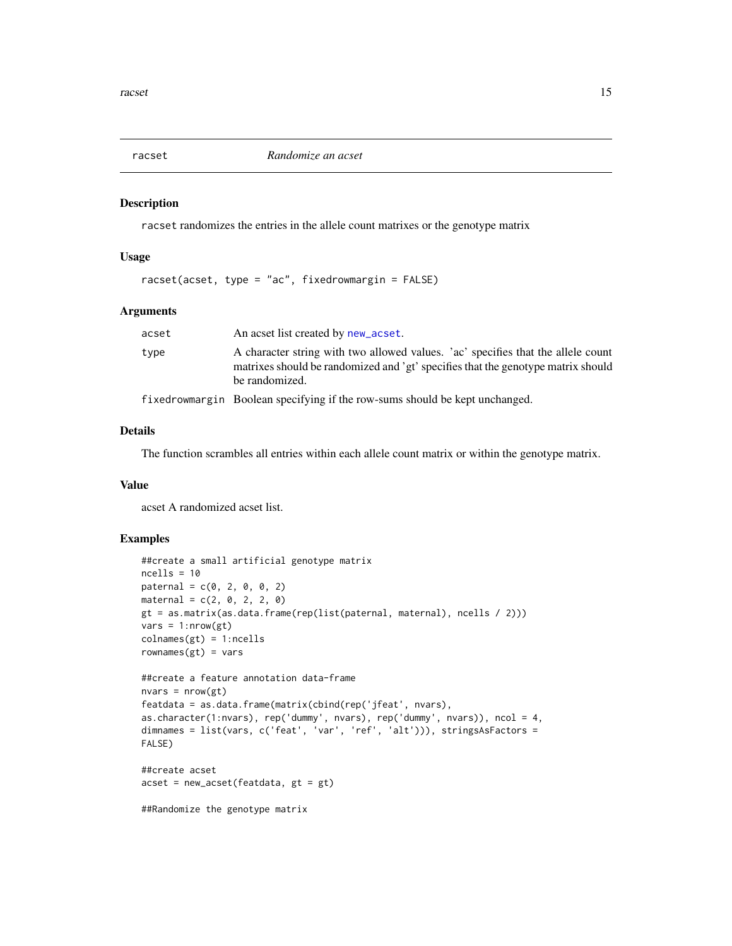<span id="page-14-0"></span>

#### Description

racset randomizes the entries in the allele count matrixes or the genotype matrix

#### Usage

racset(acset, type = "ac", fixedrowmargin = FALSE)

#### Arguments

| acset | An acset list created by new_acset.                                                                                                                                                    |
|-------|----------------------------------------------------------------------------------------------------------------------------------------------------------------------------------------|
| type  | A character string with two allowed values. 'ac' specifies that the allele count<br>matrixes should be randomized and 'gt' specifies that the genotype matrix should<br>be randomized. |
|       | $\mathbf{1}$ $\mathbf{1}$ $\mathbf{1}$ $\mathbf{1}$ $\mathbf{1}$ $\mathbf{1}$ $\mathbf{1}$ $\mathbf{1}$ $\mathbf{1}$ $\mathbf{1}$                                                      |

fixedrowmargin Boolean specifying if the row-sums should be kept unchanged.

#### Details

The function scrambles all entries within each allele count matrix or within the genotype matrix.

#### Value

acset A randomized acset list.

```
##create a small artificial genotype matrix
ncells = 10
\text{paternal} = c(0, 2, 0, 0, 2)material = c(2, 0, 2, 2, 0)gt = as.matrix(as.data.frame(rep(list(paternal, maternal), ncells / 2)))
vars = 1: nrow(gt)colnames(gt) = 1:ncellsrownames(gt) = vars##create a feature annotation data-frame
nvars = nrow(gt)featdata = as.data.frame(matrix(cbind(rep('jfeat', nvars),
as.character(1:nvars), rep('dummy', nvars), rep('dummy', nvars)), ncol = 4,
dimnames = list(vars, c('feat', 'var', 'ref', 'alt'))), stringsAsFactors =
FALSE)
##create acset
acset = new_acset(featdata, gt = gt)
##Randomize the genotype matrix
```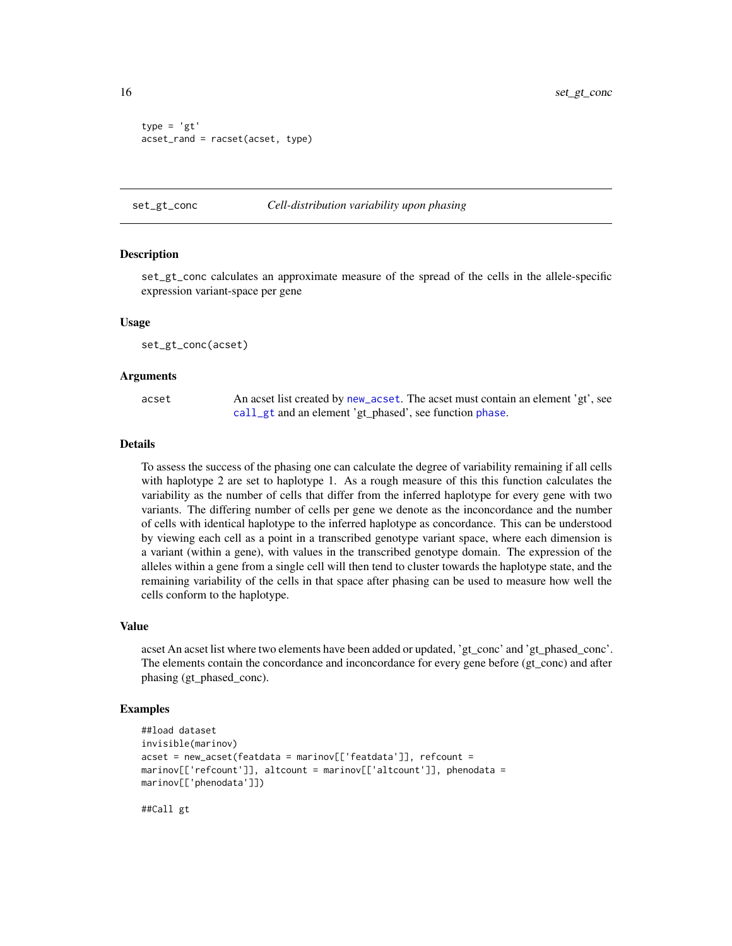```
type = 'gt'
acset_rand = racset(acset, type)
```
#### <span id="page-15-1"></span>set\_gt\_conc *Cell-distribution variability upon phasing*

#### **Description**

set\_gt\_conc calculates an approximate measure of the spread of the cells in the allele-specific expression variant-space per gene

#### Usage

set\_gt\_conc(acset)

#### **Arguments**

| acset | An acset list created by new_acset. The acset must contain an element 'gt', see |
|-------|---------------------------------------------------------------------------------|
|       | call_gt and an element 'gt_phased', see function phase.                         |

#### Details

To assess the success of the phasing one can calculate the degree of variability remaining if all cells with haplotype 2 are set to haplotype 1. As a rough measure of this this function calculates the variability as the number of cells that differ from the inferred haplotype for every gene with two variants. The differing number of cells per gene we denote as the inconcordance and the number of cells with identical haplotype to the inferred haplotype as concordance. This can be understood by viewing each cell as a point in a transcribed genotype variant space, where each dimension is a variant (within a gene), with values in the transcribed genotype domain. The expression of the alleles within a gene from a single cell will then tend to cluster towards the haplotype state, and the remaining variability of the cells in that space after phasing can be used to measure how well the cells conform to the haplotype.

#### Value

acset An acset list where two elements have been added or updated, 'gt\_conc' and 'gt\_phased\_conc'. The elements contain the concordance and inconcordance for every gene before (gt\_conc) and after phasing (gt\_phased\_conc).

#### Examples

```
##load dataset
invisible(marinov)
acset = new_acset(featdata = marinov[['featdata']], refcount =
marinov[['refcount']], altcount = marinov[['altcount']], phenodata =
marinov[['phenodata']])
```
##Call gt

<span id="page-15-0"></span>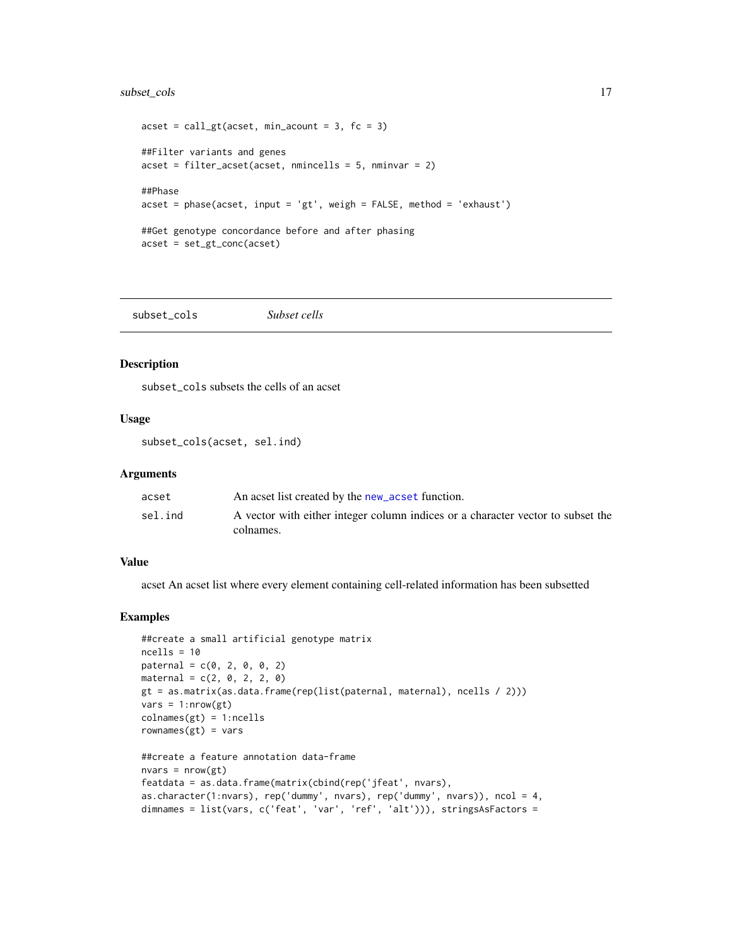#### <span id="page-16-0"></span>subset\_cols 17

```
a \cset = \text{call}_gt(a \cset, \text{min}_a \text{count} = 3, \text{fc} = 3)##Filter variants and genes
acset = filter_acset(acset, nmincells = 5, nminvar = 2)
##Phase
acset = phase(acset, input = 'gt', weigh = FALSE, method = 'exhaust')
##Get genotype concordance before and after phasing
acset = set_gt_conc(acset)
```
subset\_cols *Subset cells*

#### Description

subset\_cols subsets the cells of an acset

#### Usage

subset\_cols(acset, sel.ind)

#### Arguments

| acset   | An acset list created by the new_acset function.                                |
|---------|---------------------------------------------------------------------------------|
| sel.ind | A vector with either integer column indices or a character vector to subset the |
|         | colnames.                                                                       |

#### Value

acset An acset list where every element containing cell-related information has been subsetted

```
##create a small artificial genotype matrix
ncells = 10
\text{paternal} = c(0, 2, 0, 0, 2)material = c(2, 0, 2, 2, 0)gt = as.matrix(as.data.frame(rep(list(paternal, maternal), ncells / 2)))
vars = 1: nrow(gt)collnames(gt) = 1:ncellsrownames(gt) = vars##create a feature annotation data-frame
nvars = nrow(gt)featdata = as.data.frame(matrix(cbind(rep('jfeat', nvars),
as.character(1:nvars), rep('dummy', nvars), rep('dummy', nvars)), ncol = 4,
dimnames = list(vars, c('feat', 'var', 'ref', 'alt'))), stringsAsFactors =
```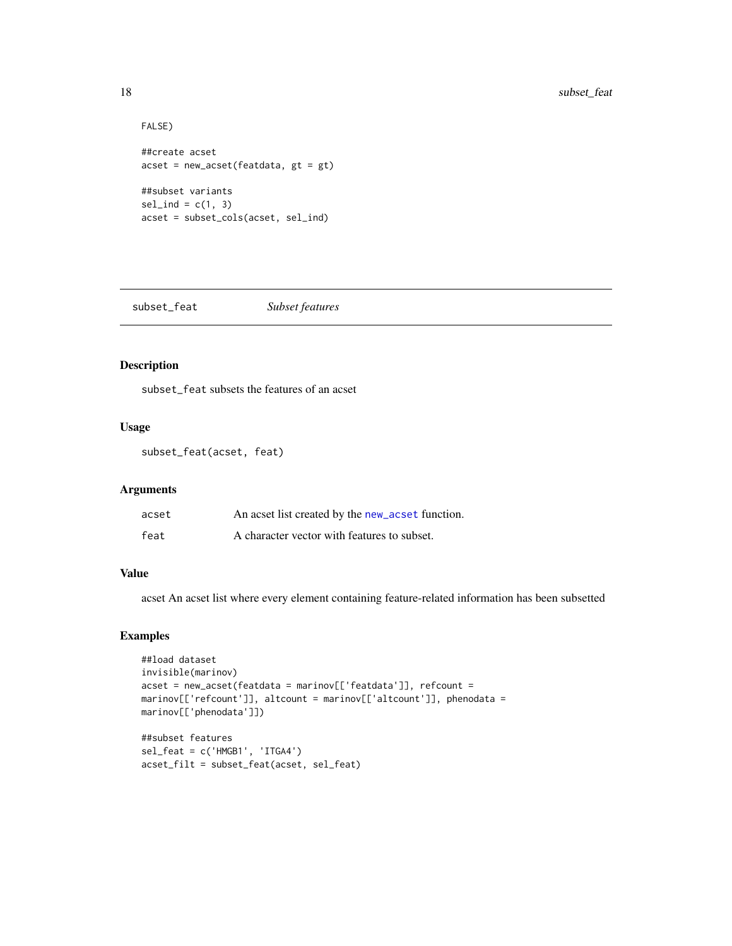```
FALSE)
##create acset
acset = new_acset(featdata, gt = gt)
##subset variants
sel\_ind = c(1, 3)acset = subset_cols(acset, sel_ind)
```
subset\_feat *Subset features*

#### Description

subset\_feat subsets the features of an acset

#### Usage

```
subset_feat(acset, feat)
```
#### Arguments

| acset | An acset list created by the new_acset function. |
|-------|--------------------------------------------------|
| feat  | A character vector with features to subset.      |

#### Value

acset An acset list where every element containing feature-related information has been subsetted

```
##load dataset
invisible(marinov)
acset = new_acset(featdata = marinov[['featdata']], refcount =
marinov[['refcount']], altcount = marinov[['altcount']], phenodata =
marinov[['phenodata']])
##subset features
```

```
sel_feat = c('HMGB1', 'ITGA4')
acset_filt = subset_feat(acset, sel_feat)
```
<span id="page-17-0"></span>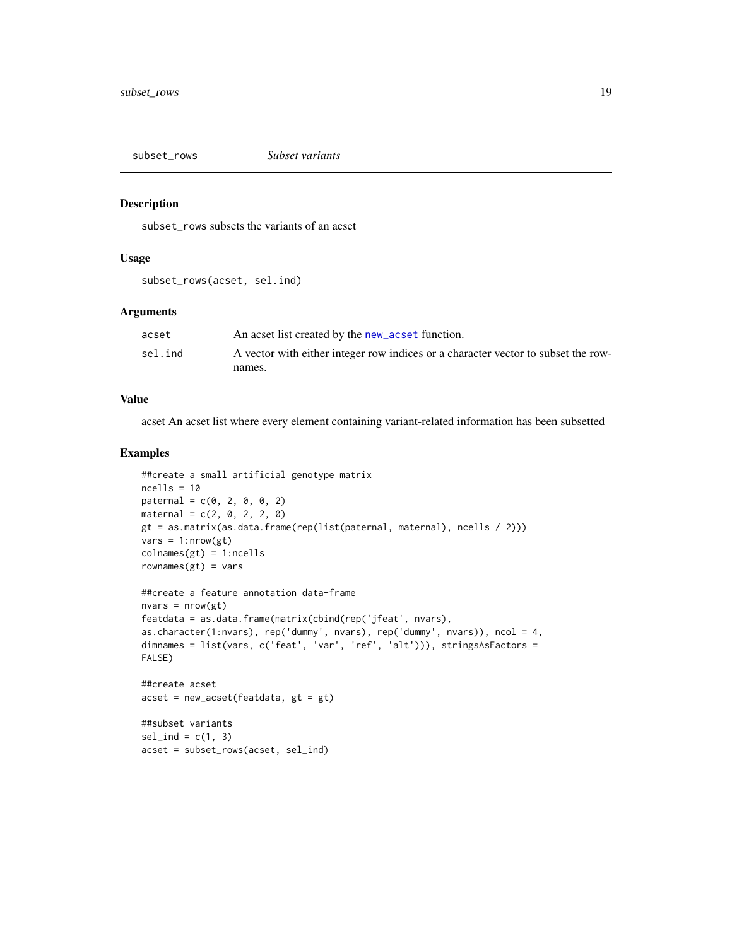<span id="page-18-0"></span>subset\_rows *Subset variants*

#### Description

subset\_rows subsets the variants of an acset

#### Usage

subset\_rows(acset, sel.ind)

#### Arguments

| acset   | An acset list created by the new_acset function.                                  |
|---------|-----------------------------------------------------------------------------------|
| sel.ind | A vector with either integer row indices or a character vector to subset the row- |
|         | names.                                                                            |

#### Value

acset An acset list where every element containing variant-related information has been subsetted

```
##create a small artificial genotype matrix
ncells = 10
\text{patternal} = c(0, 2, 0, 0, 2)material = c(2, 0, 2, 2, 0)gt = as.matrix(as.data.frame(rep(list(paternal, maternal), ncells / 2)))
vars = 1: nrow(gt)collnames(gt) = 1:ncellsrownames(gt) = vars##create a feature annotation data-frame
nvars = nrow(gt)featdata = as.data.frame(matrix(cbind(rep('jfeat', nvars),
as.character(1:nvars), rep('dummy', nvars), rep('dummy', nvars)), ncol = 4,
dimnames = list(vars, c('feat', 'var', 'ref', 'alt'))), stringsAsFactors =
FALSE)
##create acset
acset = new_acset(featdata, gt = gt)
##subset variants
sel\_ind = c(1, 3)acset = subset_rows(acset, sel_ind)
```